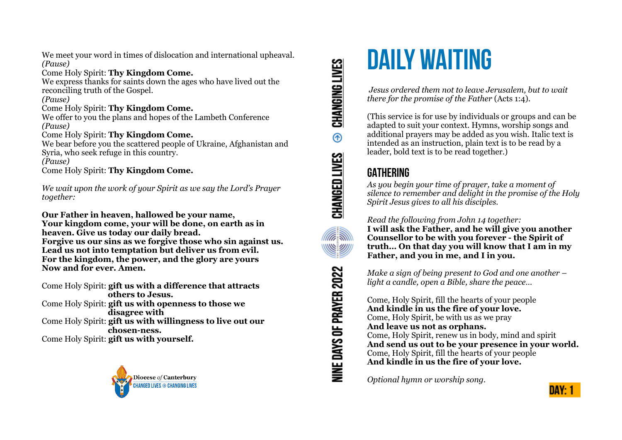We meet your word in times of dislocation and international upheaval. *(Pause)*

Come Holy Spirit: **Thy Kingdom Come.** We express thanks for saints down the ages who have lived out the reconciling truth of the Gospel.

*(Pause)*

#### Come Holy Spirit: **Thy Kingdom Come.**

We offer to you the plans and hopes of the Lambeth Conference *(Pause)*

#### Come Holy Spirit: **Thy Kingdom Come.**

We bear before you the scattered people of Ukraine, Afghanistan and Syria, who seek refuge in this country. *(Pause)*

Come Holy Spirit: **Thy Kingdom Come.**

*We wait upon the work of your Spirit as we say the Lord's Prayer together:*

**Our Father in heaven, hallowed be your name, Your kingdom come, your will be done, on earth as in heaven. Give us today our daily bread. Forgive us our sins as we forgive those who sin against us. Lead us not into temptation but deliver us from evil. For the kingdom, the power, and the glory are yours Now and for ever. Amen.**

Come Holy Spirit: **gift us with a difference that attracts others to Jesus.** Come Holy Spirit: **gift us with openness to those we disagree with** Come Holy Spirit: **gift us with willingness to live out our chosen-ness.** Come Holy Spirit: **gift us with yourself.**



CHANGING LIVES  $^{\circ}$ CHANGED LIVES **Alla SIN** NINE DAYS OF PRAYER 2022

# **DAILY WAITING**

 *Jesus ordered them not to leave Jerusalem, but to wait there for the promise of the Father* (Acts 1:4).

(This service is for use by individuals or groups and can be adapted to suit your context. Hymns, worship songs and additional prayers may be added as you wish. Italic text is intended as an instruction, plain text is to be read by a leader, bold text is to be read together.)

# **GATHERING**

*As you begin your time of prayer, take a moment of silence to remember and delight in the promise of the Holy Spirit Jesus gives to all his disciples.*

*Read the following from John 14 together:*  **I will ask the Father, and he will give you another Counsellor to be with you forever - the Spirit of truth… On that day you will know that I am in my Father, and you in me, and I in you.** 

*Make a sign of being present to God and one another – light a candle, open a Bible, share the peace…* 

Come, Holy Spirit, fill the hearts of your people **And kindle in us the fire of your love.**  Come, Holy Spirit, be with us as we pray **And leave us not as orphans.**  Come, Holy Spirit, renew us in body, mind and spirit **And send us out to be your presence in your world.**  Come, Holy Spirit, fill the hearts of your people **And kindle in us the fire of your love.**

*Optional hymn or worship song.*